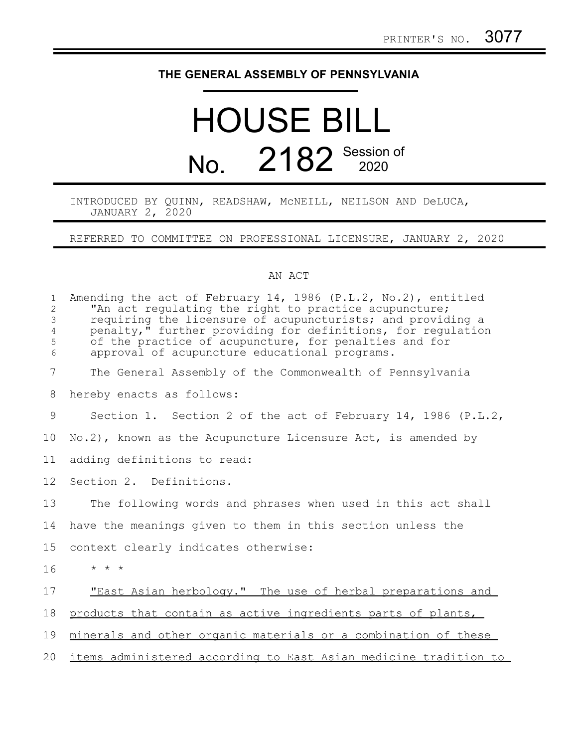## **THE GENERAL ASSEMBLY OF PENNSYLVANIA**

## HOUSE BILL No. 2182 Session of

## INTRODUCED BY QUINN, READSHAW, McNEILL, NEILSON AND DeLUCA, JANUARY 2, 2020

REFERRED TO COMMITTEE ON PROFESSIONAL LICENSURE, JANUARY 2, 2020

## AN ACT

| $\mathbf{1}$<br>$\overline{c}$<br>$\mathfrak{Z}$<br>$\overline{4}$<br>5<br>6 | Amending the act of February 14, 1986 $(P.L.2, No.2)$ , entitled<br>"An act regulating the right to practice acupuncture;<br>requiring the licensure of acupuncturists; and providing a<br>penalty," further providing for definitions, for regulation<br>of the practice of acupuncture, for penalties and for<br>approval of acupuncture educational programs. |
|------------------------------------------------------------------------------|------------------------------------------------------------------------------------------------------------------------------------------------------------------------------------------------------------------------------------------------------------------------------------------------------------------------------------------------------------------|
| 7                                                                            | The General Assembly of the Commonwealth of Pennsylvania                                                                                                                                                                                                                                                                                                         |
| 8                                                                            | hereby enacts as follows:                                                                                                                                                                                                                                                                                                                                        |
| 9                                                                            | Section 1. Section 2 of the act of February 14, 1986 (P.L.2,                                                                                                                                                                                                                                                                                                     |
| 10                                                                           | $No.2$ ), known as the Acupuncture Licensure Act, is amended by                                                                                                                                                                                                                                                                                                  |
| 11                                                                           | adding definitions to read:                                                                                                                                                                                                                                                                                                                                      |
| 12                                                                           | Section 2. Definitions.                                                                                                                                                                                                                                                                                                                                          |
| 13                                                                           | The following words and phrases when used in this act shall                                                                                                                                                                                                                                                                                                      |
| 14                                                                           | have the meanings given to them in this section unless the                                                                                                                                                                                                                                                                                                       |
| 15                                                                           | context clearly indicates otherwise:                                                                                                                                                                                                                                                                                                                             |
| 16                                                                           | $\star$ $\star$ $\star$                                                                                                                                                                                                                                                                                                                                          |
| 17                                                                           | "East Asian herbology." The use of herbal preparations and                                                                                                                                                                                                                                                                                                       |
| 18                                                                           | products that contain as active ingredients parts of plants,                                                                                                                                                                                                                                                                                                     |
| 19                                                                           | minerals and other organic materials or a combination of these                                                                                                                                                                                                                                                                                                   |
| 20                                                                           | <u>items administered according to East Asian medicine tradition to</u>                                                                                                                                                                                                                                                                                          |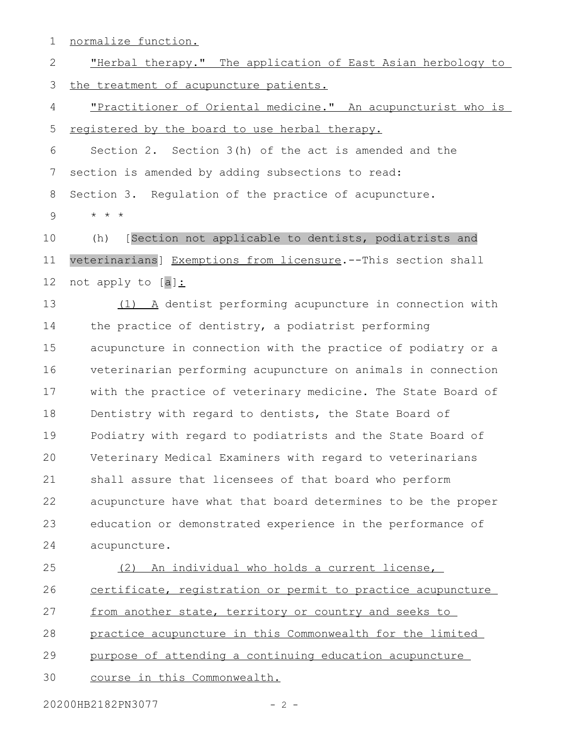normalize function. "Herbal therapy." The application of East Asian herbology to the treatment of acupuncture patients. "Practitioner of Oriental medicine." An acupuncturist who is registered by the board to use herbal therapy. Section 2. Section 3(h) of the act is amended and the section is amended by adding subsections to read: Section 3. Regulation of the practice of acupuncture. \* \* \* (h) [Section not applicable to dentists, podiatrists and veterinarians] Exemptions from licensure.--This section shall not apply to [a]: (1) A dentist performing acupuncture in connection with the practice of dentistry, a podiatrist performing acupuncture in connection with the practice of podiatry or a veterinarian performing acupuncture on animals in connection with the practice of veterinary medicine. The State Board of Dentistry with regard to dentists, the State Board of Podiatry with regard to podiatrists and the State Board of Veterinary Medical Examiners with regard to veterinarians shall assure that licensees of that board who perform acupuncture have what that board determines to be the proper education or demonstrated experience in the performance of acupuncture. (2) An individual who holds a current license, certificate, registration or permit to practice acupuncture from another state, territory or country and seeks to practice acupuncture in this Commonwealth for the limited purpose of attending a continuing education acupuncture 1 2 3 4 5 6 7 8 9 10 11 12 13 14 15 16 17 18 19 20 21 22 23 24 25 26 27 28 29

course in this Commonwealth. 30

20200HB2182PN3077 - 2 -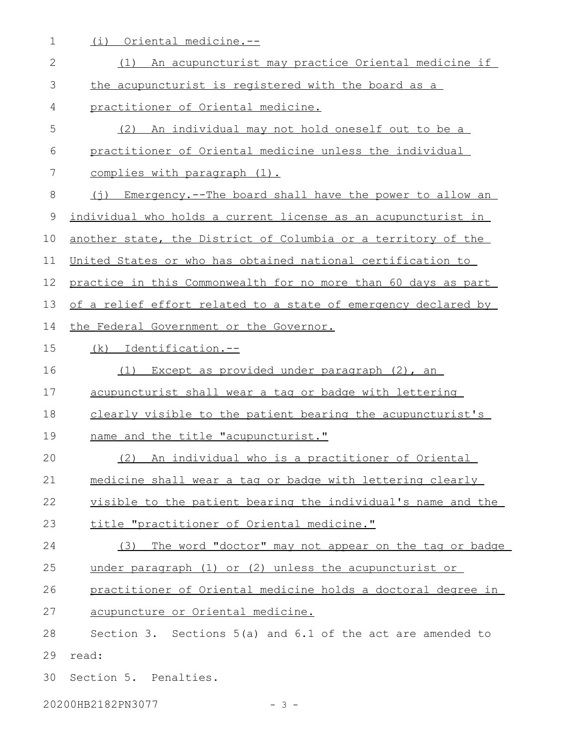1 (i) Oriental medicine.--

| $\mathbf{2}$ | (1) An acupuncturist may practice Oriental medicine if         |
|--------------|----------------------------------------------------------------|
| 3            | the acupuncturist is registered with the board as a            |
| 4            | practitioner of Oriental medicine.                             |
| 5            | (2) An individual may not hold oneself out to be a             |
| 6            | practitioner of Oriental medicine unless the individual        |
| 7            | complies with paragraph (1).                                   |
| 8            | (j) Emergency.--The board shall have the power to allow an     |
| $\mathsf 9$  | individual who holds a current license as an acupuncturist in  |
| 10           | another state, the District of Columbia or a territory of the  |
| 11           | United States or who has obtained national certification to    |
| 12           | practice in this Commonwealth for no more than 60 days as part |
| 13           | of a relief effort related to a state of emergency declared by |
| 14           | the Federal Government or the Governor.                        |
| 15           | Identification.--<br>(k)                                       |
| 16           | Except as provided under paragraph (2), an<br>(1)              |
| 17           | acupuncturist shall wear a tag or badge with lettering         |
| 18           | clearly visible to the patient bearing the acupuncturist's     |
| 19           | name and the title "acupuncturist."                            |
| 20           | An individual who is a practitioner of Oriental<br>(2)         |
| 21           | medicine shall wear a tag or badge with lettering clearly      |
| 22           | visible to the patient bearing the individual's name and the   |
| 23           | title "practitioner of Oriental medicine."                     |
| 24           | The word "doctor" may not appear on the tag or badge<br>(3)    |
| 25           | under paragraph (1) or (2) unless the acupuncturist or         |
| 26           | practitioner of Oriental medicine holds a doctoral degree in   |
| 27           | acupuncture or Oriental medicine.                              |
| 28           | Section 3. Sections $5(a)$ and $6.1$ of the act are amended to |
| 29           | read:                                                          |
| 30           | Section 5. Penalties.                                          |
|              |                                                                |

20200HB2182PN3077 - 3 -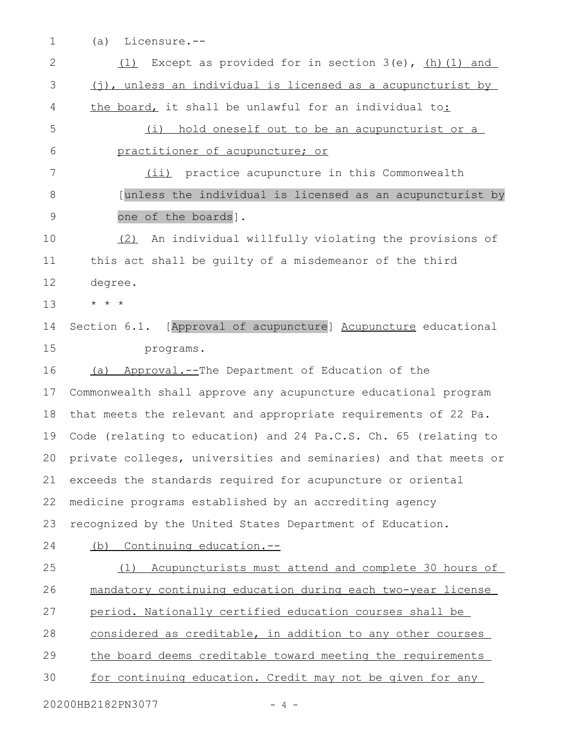(a) Licensure.-- 1

| $\overline{2}$ | Except as provided for in section $3(e)$ , $(h)$ $(1)$ and<br>(1) |
|----------------|-------------------------------------------------------------------|
| 3              | (j), unless an individual is licensed as a acupuncturist by       |
| 4              | the board, it shall be unlawful for an individual to:             |
| 5              | (i) hold oneself out to be an acupuncturist or a                  |
| 6              | practitioner of acupuncture; or                                   |
| 7              | (ii) practice acupuncture in this Commonwealth                    |
| 8              | [unless the individual is licensed as an acupuncturist by         |
| 9              | one of the boards].                                               |
| 10             | (2) An individual willfully violating the provisions of           |
| 11             | this act shall be quilty of a misdemeanor of the third            |
| 12             | degree.                                                           |
| 13             | $\star$ $\star$ $\star$                                           |
| 14             | Section 6.1. [Approval of acupuncture] Acupuncture educational    |
| 15             | programs.                                                         |
| 16             | Approval.--The Department of Education of the<br>(a)              |
| 17             | Commonwealth shall approve any acupuncture educational program    |
| 18             | that meets the relevant and appropriate requirements of 22 Pa.    |
| 19             | Code (relating to education) and 24 Pa.C.S. Ch. 65 (relating to   |
| 20             | private colleges, universities and seminaries) and that meets or  |
|                | 21 exceeds the standards required for acupuncture or oriental     |
| 22             | medicine programs established by an accrediting agency            |
| 23             | recognized by the United States Department of Education.          |
| 24             | (b) Continuing education.--                                       |
| 25             | (1) Acupuncturists must attend and complete 30 hours of           |
| 26             | mandatory continuing education during each two-year license       |
| 27             | period. Nationally certified education courses shall be           |
| 28             | considered as creditable, in addition to any other courses        |
| 29             | the board deems creditable toward meeting the requirements        |
| 30             | for continuing education. Credit may not be given for any         |
|                | 20200HB2182PN3077<br>$-4 -$                                       |